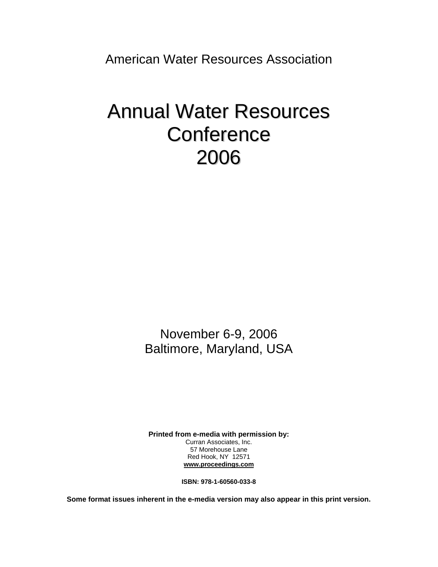American Water Resources Association

## Annual Water Resources **Conference** 2006

November 6-9, 2006 Baltimore, Maryland, USA

**Printed from e-media with permission by:**  Curran Associates, Inc. 57 Morehouse Lane Red Hook, NY 12571 **www.proceedings.com**

**ISBN: 978-1-60560-033-8** 

**Some format issues inherent in the e-media version may also appear in this print version.**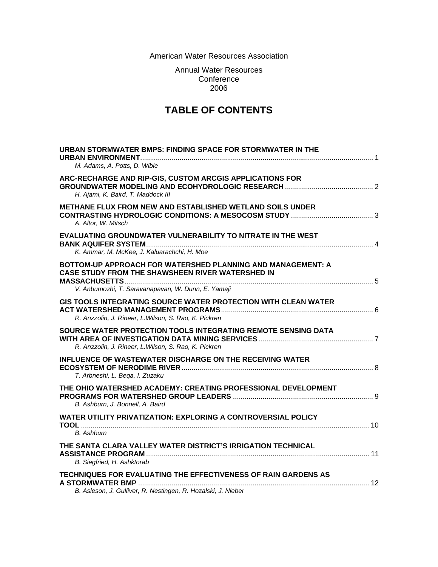American Water Resources Association

Annual Water Resources **Conference** 2006

## **TABLE OF CONTENTS**

| URBAN STORMWATER BMPS: FINDING SPACE FOR STORMWATER IN THE<br>M. Adams, A. Potts, D. Wible                                                                            |
|-----------------------------------------------------------------------------------------------------------------------------------------------------------------------|
| ARC-RECHARGE AND RIP-GIS, CUSTOM ARCGIS APPLICATIONS FOR<br>H. Ajami, K. Baird, T. Maddock III                                                                        |
| <b>METHANE FLUX FROM NEW AND ESTABLISHED WETLAND SOILS UNDER</b><br>A. Altor, W. Mitsch                                                                               |
| <b>EVALUATING GROUNDWATER VULNERABILITY TO NITRATE IN THE WEST</b><br>K. Ammar, M. McKee, J. Kaluarachchi, H. Moe                                                     |
| BOTTOM-UP APPROACH FOR WATERSHED PLANNING AND MANAGEMENT: A<br>CASE STUDY FROM THE SHAWSHEEN RIVER WATERSHED IN<br>V. Anbumozhi, T. Saravanapavan, W. Dunn, E. Yamaji |
| GIS TOOLS INTEGRATING SOURCE WATER PROTECTION WITH CLEAN WATER<br>R. Anzzolin, J. Rineer, L. Wilson, S. Rao, K. Pickren                                               |
| SOURCE WATER PROTECTION TOOLS INTEGRATING REMOTE SENSING DATA<br>R. Anzzolin, J. Rineer, L. Wilson, S. Rao, K. Pickren                                                |
| <b>INFLUENCE OF WASTEWATER DISCHARGE ON THE RECEIVING WATER</b><br>T. Arbneshi, L. Bega, I. Zuzaku                                                                    |
| THE OHIO WATERSHED ACADEMY: CREATING PROFESSIONAL DEVELOPMENT<br>B. Ashburn, J. Bonnell, A. Baird                                                                     |
| <b>WATER UTILITY PRIVATIZATION: EXPLORING A CONTROVERSIAL POLICY</b><br><b>B.</b> Ashburn                                                                             |
| THE SANTA CLARA VALLEY WATER DISTRICT'S IRRIGATION TECHNICAL<br>B. Siegfried, H. Ashktorab                                                                            |
| TECHNIQUES FOR EVALUATING THE EFFECTIVENESS OF RAIN GARDENS AS<br>B. Asleson, J. Gulliver, R. Nestingen, R. Hozalski, J. Nieber                                       |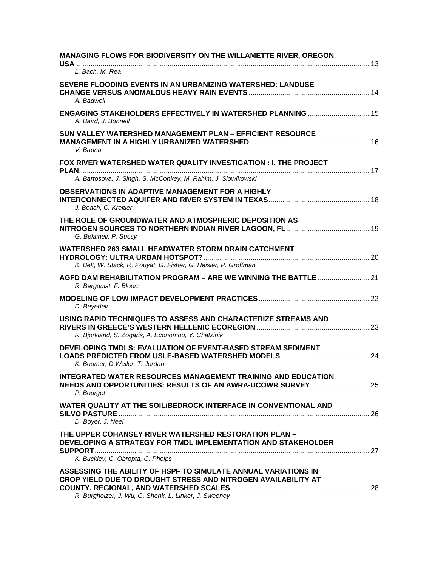| MANAGING FLOWS FOR BIODIVERSITY ON THE WILLAMETTE RIVER, OREGON                                                                                                                          |  |
|------------------------------------------------------------------------------------------------------------------------------------------------------------------------------------------|--|
| L. Bach. M. Rea                                                                                                                                                                          |  |
| SEVERE FLOODING EVENTS IN AN URBANIZING WATERSHED: LANDUSE<br>A. Bagwell                                                                                                                 |  |
| ENGAGING STAKEHOLDERS EFFECTIVELY IN WATERSHED PLANNING  15<br>A. Baird, J. Bonnell                                                                                                      |  |
| SUN VALLEY WATERSHED MANAGEMENT PLAN - EFFICIENT RESOURCE<br>V. Bapna                                                                                                                    |  |
| FOX RIVER WATERSHED WATER QUALITY INVESTIGATION : I. THE PROJECT                                                                                                                         |  |
| A. Bartosova, J. Singh, S. McConkey, M. Rahim, J. Slowikowski                                                                                                                            |  |
| <b>OBSERVATIONS IN ADAPTIVE MANAGEMENT FOR A HIGHLY</b><br>J. Beach, C. Kreitler                                                                                                         |  |
| THE ROLE OF GROUNDWATER AND ATMOSPHERIC DEPOSITION AS<br>G. Belaineli, P. Sucsy                                                                                                          |  |
| <b>WATERSHED 263 SMALL HEADWATER STORM DRAIN CATCHMENT</b><br>K. Belt, W. Stack, R. Pouyat, G. Fisher, G. Heisler, P. Groffman                                                           |  |
| AGFD DAM REHABILITATION PROGRAM - ARE WE WINNING THE BATTLE  21<br>R. Bergquist. F. Bloom                                                                                                |  |
| D. Beyerlein                                                                                                                                                                             |  |
| USING RAPID TECHNIQUES TO ASSESS AND CHARACTERIZE STREAMS AND<br>R. Bjorkland, S. Zogaris, A. Economou, Y. Chatzinik                                                                     |  |
| DEVELOPING TMDLS: EVALUATION OF EVENT-BASED STREAM SEDIMENT<br>K. Boomer, D. Weller, T. Jordan                                                                                           |  |
| <b>INTEGRATED WATER RESOURCES MANAGEMENT TRAINING AND EDUCATION</b><br>NEEDS AND OPPORTUNITIES: RESULTS OF AN AWRA-UCOWR SURVEY 25<br>P. Bourget                                         |  |
| WATER QUALITY AT THE SOIL/BEDROCK INTERFACE IN CONVENTIONAL AND<br>D. Boyer, J. Neel                                                                                                     |  |
| THE UPPER COHANSEY RIVER WATERSHED RESTORATION PLAN -<br>DEVELOPING A STRATEGY FOR TMDL IMPLEMENTATION AND STAKEHOLDER<br>K. Buckley, C. Obropta, C. Phelps                              |  |
| ASSESSING THE ABILITY OF HSPF TO SIMULATE ANNUAL VARIATIONS IN<br>CROP YIELD DUE TO DROUGHT STRESS AND NITROGEN AVAILABILITY AT<br>R. Burgholzer, J. Wu, G. Shenk, L. Linker, J. Sweeney |  |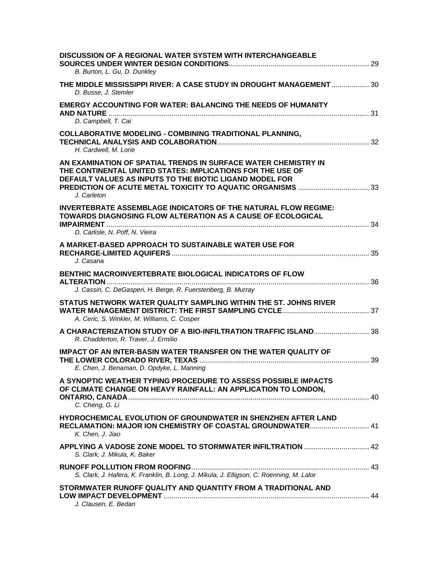| <b>DISCUSSION OF A REGIONAL WATER SYSTEM WITH INTERCHANGEABLE</b><br>B. Burton, L. Gu, D. Dunkley                                                                                                      |  |
|--------------------------------------------------------------------------------------------------------------------------------------------------------------------------------------------------------|--|
| THE MIDDLE MISSISSIPPI RIVER: A CASE STUDY IN DROUGHT MANAGEMENT  30<br>D. Busse, J. Stemler                                                                                                           |  |
| <b>EMERGY ACCOUNTING FOR WATER: BALANCING THE NEEDS OF HUMANITY</b><br>D. Campbell, T. Cai                                                                                                             |  |
| <b>COLLABORATIVE MODELING - COMBINING TRADITIONAL PLANNING,</b><br>H. Cardwell, M. Lorie                                                                                                               |  |
| AN EXAMINATION OF SPATIAL TRENDS IN SURFACE WATER CHEMISTRY IN<br>THE CONTINENTAL UNITED STATES: IMPLICATIONS FOR THE USE OF<br>DEFAULT VALUES AS INPUTS TO THE BIOTIC LIGAND MODEL FOR<br>J. Carleton |  |
| <b>INVERTEBRATE ASSEMBLAGE INDICATORS OF THE NATURAL FLOW REGIME:</b><br>TOWARDS DIAGNOSING FLOW ALTERATION AS A CAUSE OF ECOLOGICAL                                                                   |  |
| D. Carlisle, N. Poff, N. Vieira<br>A MARKET-BASED APPROACH TO SUSTAINABLE WATER USE FOR<br>J. Casana                                                                                                   |  |
| <b>BENTHIC MACROINVERTEBRATE BIOLOGICAL INDICATORS OF FLOW</b><br>J. Cassin, C. DeGasperi, H. Berge, R. Fuerstenberg, B. Murray                                                                        |  |
| STATUS NETWORK WATER QUALITY SAMPLING WITHIN THE ST. JOHNS RIVER<br>A. Ceric, S. Winkler, M. Williams, C. Cosper                                                                                       |  |
| A CHARACTERIZATION STUDY OF A BIO-INFILTRATION TRAFFIC ISLAND 38<br>R. Chadderton, R. Traver, J. Ermilio                                                                                               |  |
| <b>IMPACT OF AN INTER-BASIN WATER TRANSFER ON THE WATER QUALITY OF</b><br>E. Chen, J. Benaman, D. Opdyke, L. Manning                                                                                   |  |
| A SYNOPTIC WEATHER TYPING PROCEDURE TO ASSESS POSSIBLE IMPACTS<br>OF CLIMATE CHANGE ON HEAVY RAINFALL: AN APPLICATION TO LONDON,<br>C. Cheng, G. Li                                                    |  |
| HYDROCHEMICAL EVOLUTION OF GROUNDWATER IN SHENZHEN AFTER LAND<br>RECLAMATION: MAJOR ION CHEMISTRY OF COASTAL GROUNDWATER 41<br>K. Chen, J. Jiao                                                        |  |
| APPLYING A VADOSE ZONE MODEL TO STORMWATER INFILTRATION  42<br>S. Clark, J. Mikula, K. Baker                                                                                                           |  |
| S. Clark, J. Hafera, K. Franklin, B. Long, J. Mikula, J. Elligson, C. Roenning, M. Lalor                                                                                                               |  |
| STORMWATER RUNOFF QUALITY AND QUANTITY FROM A TRADITIONAL AND<br>J. Clausen, E. Bedan                                                                                                                  |  |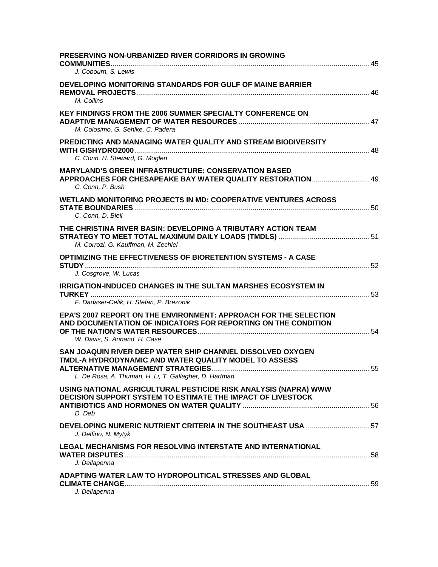| <b>PRESERVING NON-URBANIZED RIVER CORRIDORS IN GROWING</b>                                                                                                                    |  |
|-------------------------------------------------------------------------------------------------------------------------------------------------------------------------------|--|
| J. Cobourn, S. Lewis                                                                                                                                                          |  |
| DEVELOPING MONITORING STANDARDS FOR GULF OF MAINE BARRIER<br>M. Collins                                                                                                       |  |
| <b>KEY FINDINGS FROM THE 2006 SUMMER SPECIALTY CONFERENCE ON</b><br>M. Colosimo, G. Sehlke, C. Padera                                                                         |  |
| PREDICTING AND MANAGING WATER QUALITY AND STREAM BIODIVERSITY<br>C. Conn, H. Steward, G. Moglen                                                                               |  |
| <b>MARYLAND'S GREEN INFRASTRUCTURE: CONSERVATION BASED</b><br>APPROACHES FOR CHESAPEAKE BAY WATER QUALITY RESTORATION 49<br>C. Conn, P. Bush                                  |  |
| WETLAND MONITORING PROJECTS IN MD: COOPERATIVE VENTURES ACROSS<br>C. Conn. D. Bleil                                                                                           |  |
| THE CHRISTINA RIVER BASIN: DEVELOPING A TRIBUTARY ACTION TEAM<br>M. Corrozi, G. Kauffman, M. Zechiel                                                                          |  |
| <b>OPTIMIZING THE EFFECTIVENESS OF BIORETENTION SYSTEMS - A CASE</b><br>J. Cosgrove, W. Lucas                                                                                 |  |
| <b>IRRIGATION-INDUCED CHANGES IN THE SULTAN MARSHES ECOSYSTEM IN</b><br>F. Dadaser-Celik, H. Stefan, P. Brezonik                                                              |  |
| EPA'S 2007 REPORT ON THE ENVIRONMENT: APPROACH FOR THE SELECTION<br>AND DOCUMENTATION OF INDICATORS FOR REPORTING ON THE CONDITION<br>W. Davis, S. Annand, H. Case            |  |
| SAN JOAQUIN RIVER DEEP WATER SHIP CHANNEL DISSOLVED OXYGEN<br>TMDL-A HYDRODYNAMIC AND WATER QUALITY MODEL TO ASSESS<br>L. De Rosa, A. Thuman, H. Li, T. Gallagher, D. Hartman |  |
| USING NATIONAL AGRICULTURAL PESTICIDE RISK ANALYSIS (NAPRA) WWW<br><b>DECISION SUPPORT SYSTEM TO ESTIMATE THE IMPACT OF LIVESTOCK</b><br>D. Deb                               |  |
| J. Delfino, N. Mytyk                                                                                                                                                          |  |
| <b>LEGAL MECHANISMS FOR RESOLVING INTERSTATE AND INTERNATIONAL</b><br>J. Dellapenna                                                                                           |  |
| ADAPTING WATER LAW TO HYDROPOLITICAL STRESSES AND GLOBAL<br>J. Dellapenna                                                                                                     |  |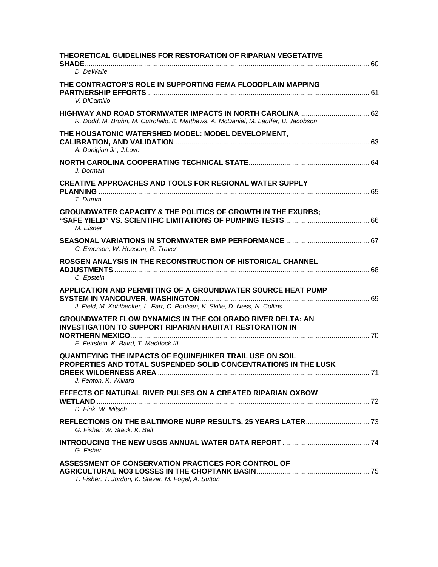| THEORETICAL GUIDELINES FOR RESTORATION OF RIPARIAN VEGETATIVE<br>D. DeWalle                                                                                                   |     |
|-------------------------------------------------------------------------------------------------------------------------------------------------------------------------------|-----|
| THE CONTRACTOR'S ROLE IN SUPPORTING FEMA FLOODPLAIN MAPPING<br>V. DiCamillo                                                                                                   |     |
| R. Dodd, M. Bruhn, M. Cutrofello, K. Matthews, A. McDaniel, M. Lauffer, B. Jacobson                                                                                           |     |
| THE HOUSATONIC WATERSHED MODEL: MODEL DEVELOPMENT,<br>A. Donigian Jr., J.Love                                                                                                 |     |
| J. Dorman                                                                                                                                                                     |     |
| <b>CREATIVE APPROACHES AND TOOLS FOR REGIONAL WATER SUPPLY</b><br>T. Dumm                                                                                                     |     |
| <b>GROUNDWATER CAPACITY &amp; THE POLITICS OF GROWTH IN THE EXURBS;</b><br>M. Eisner                                                                                          |     |
| C. Emerson, W. Heasom, R. Traver                                                                                                                                              |     |
| ROSGEN ANALYSIS IN THE RECONSTRUCTION OF HISTORICAL CHANNEL<br>C. Epstein                                                                                                     |     |
| APPLICATION AND PERMITTING OF A GROUNDWATER SOURCE HEAT PUMP<br>J. Field, M. Kohlbecker, L. Farr, C. Poulsen, K. Skille, D. Ness, N. Collins                                  |     |
| <b>GROUNDWATER FLOW DYNAMICS IN THE COLORADO RIVER DELTA: AN</b><br><b>INVESTIGATION TO SUPPORT RIPARIAN HABITAT RESTORATION IN</b><br>E. Feirstein, K. Baird, T. Maddock III |     |
| <b>QUANTIFYING THE IMPACTS OF EQUINE/HIKER TRAIL USE ON SOIL</b><br>PROPERTIES AND TOTAL SUSPENDED SOLID CONCENTRATIONS IN THE LUSK<br>J. Fenton, K. Williard                 | .71 |
| EFFECTS OF NATURAL RIVER PULSES ON A CREATED RIPARIAN OXBOW<br>D. Fink, W. Mitsch                                                                                             |     |
| REFLECTIONS ON THE BALTIMORE NURP RESULTS, 25 YEARS LATER 73<br>G. Fisher, W. Stack, K. Belt                                                                                  |     |
| G. Fisher                                                                                                                                                                     |     |
| ASSESSMENT OF CONSERVATION PRACTICES FOR CONTROL OF<br>T. Fisher, T. Jordon, K. Staver, M. Fogel, A. Sutton                                                                   |     |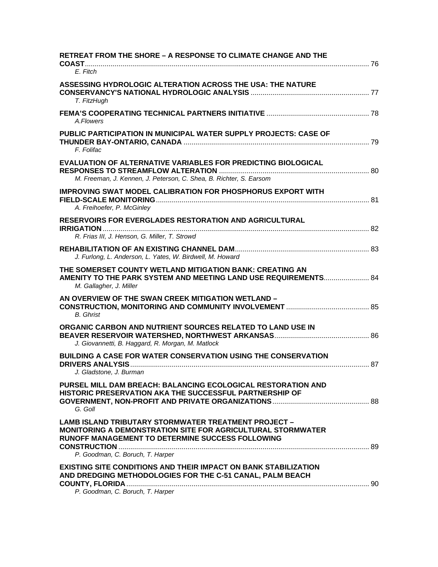| <b>RETREAT FROM THE SHORE - A RESPONSE TO CLIMATE CHANGE AND THE</b>                                                                                                                                                             |  |
|----------------------------------------------------------------------------------------------------------------------------------------------------------------------------------------------------------------------------------|--|
| E. Fitch                                                                                                                                                                                                                         |  |
| <b>ASSESSING HYDROLOGIC ALTERATION ACROSS THE USA: THE NATURE</b><br>T. FitzHugh                                                                                                                                                 |  |
| A.Flowers                                                                                                                                                                                                                        |  |
| PUBLIC PARTICIPATION IN MUNICIPAL WATER SUPPLY PROJECTS: CASE OF<br>F. Folifac                                                                                                                                                   |  |
| <b>EVALUATION OF ALTERNATIVE VARIABLES FOR PREDICTING BIOLOGICAL</b><br>M. Freeman, J. Kennen, J. Peterson, C. Shea, B. Richter, S. Earsom                                                                                       |  |
| <b>IMPROVING SWAT MODEL CALIBRATION FOR PHOSPHORUS EXPORT WITH</b><br>A. Freihoefer, P. McGinley                                                                                                                                 |  |
| <b>RESERVOIRS FOR EVERGLADES RESTORATION AND AGRICULTURAL</b><br>R. Frias III, J. Henson, G. Miller, T. Strowd                                                                                                                   |  |
| J. Furlong, L. Anderson, L. Yates, W. Birdwell, M. Howard                                                                                                                                                                        |  |
| THE SOMERSET COUNTY WETLAND MITIGATION BANK: CREATING AN<br>AMENITY TO THE PARK SYSTEM AND MEETING LAND USE REQUIREMENTS 84<br>M. Gallagher, J. Miller                                                                           |  |
| AN OVERVIEW OF THE SWAN CREEK MITIGATION WETLAND -<br><b>B.</b> Ghrist                                                                                                                                                           |  |
| ORGANIC CARBON AND NUTRIENT SOURCES RELATED TO LAND USE IN<br>J. Giovannetti, B. Haggard, R. Morgan, M. Matlock                                                                                                                  |  |
| <b>BUILDING A CASE FOR WATER CONSERVATION USING THE CONSERVATION</b><br>J. Gladstone, J. Burman                                                                                                                                  |  |
| PURSEL MILL DAM BREACH: BALANCING ECOLOGICAL RESTORATION AND<br>HISTORIC PRESERVATION AKA THE SUCCESSFUL PARTNERSHIP OF<br>G. Goll                                                                                               |  |
| <b>LAMB ISLAND TRIBUTARY STORMWATER TREATMENT PROJECT -</b><br><b>MONITORING A DEMONSTRATION SITE FOR AGRICULTURAL STORMWATER</b><br><b>RUNOFF MANAGEMENT TO DETERMINE SUCCESS FOLLOWING</b><br>P. Goodman, C. Boruch, T. Harper |  |
| <b>EXISTING SITE CONDITIONS AND THEIR IMPACT ON BANK STABILIZATION</b><br>AND DREDGING METHODOLOGIES FOR THE C-51 CANAL, PALM BEACH<br>P. Goodman, C. Boruch, T. Harper                                                          |  |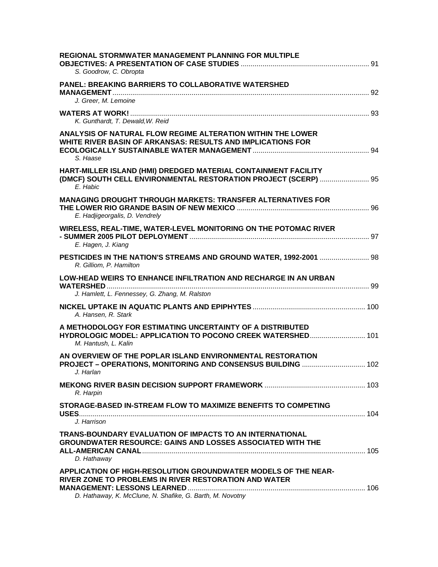| REGIONAL STORMWATER MANAGEMENT PLANNING FOR MULTIPLE<br>S. Goodrow, C. Obropta                                                                                                       |  |
|--------------------------------------------------------------------------------------------------------------------------------------------------------------------------------------|--|
| <b>PANEL: BREAKING BARRIERS TO COLLABORATIVE WATERSHED</b><br>J. Greer, M. Lemoine                                                                                                   |  |
| K. Gunthardt, T. Dewald, W. Reid                                                                                                                                                     |  |
| <b>ANALYSIS OF NATURAL FLOW REGIME ALTERATION WITHIN THE LOWER</b><br>WHITE RIVER BASIN OF ARKANSAS: RESULTS AND IMPLICATIONS FOR<br>S. Haase                                        |  |
| HART-MILLER ISLAND (HMI) DREDGED MATERIAL CONTAINMENT FACILITY<br>(DMCF) SOUTH CELL ENVIRONMENTAL RESTORATION PROJECT (SCERP)  95<br>E. Habic                                        |  |
| <b>MANAGING DROUGHT THROUGH MARKETS: TRANSFER ALTERNATIVES FOR</b><br>E. Hadjigeorgalis, D. Vendrely                                                                                 |  |
| WIRELESS, REAL-TIME, WATER-LEVEL MONITORING ON THE POTOMAC RIVER<br>E. Hagen, J. Kiang                                                                                               |  |
| PESTICIDES IN THE NATION'S STREAMS AND GROUND WATER, 1992-2001  98<br>R. Gilliom, P. Hamilton                                                                                        |  |
| <b>LOW-HEAD WEIRS TO ENHANCE INFILTRATION AND RECHARGE IN AN URBAN</b><br>J. Hamlett, L. Fennessey, G. Zhang, M. Ralston                                                             |  |
| A. Hansen, R. Stark                                                                                                                                                                  |  |
| A METHODOLOGY FOR ESTIMATING UNCERTAINTY OF A DISTRIBUTED<br>M. Hantush, L. Kalin                                                                                                    |  |
| AN OVERVIEW OF THE POPLAR ISLAND ENVIRONMENTAL RESTORATION<br>PROJECT - OPERATIONS, MONITORING AND CONSENSUS BUILDING  102<br>J. Harlan                                              |  |
| R. Harpin                                                                                                                                                                            |  |
| STORAGE-BASED IN-STREAM FLOW TO MAXIMIZE BENEFITS TO COMPETING<br>J. Harrison                                                                                                        |  |
| TRANS-BOUNDARY EVALUATION OF IMPACTS TO AN INTERNATIONAL<br><b>GROUNDWATER RESOURCE: GAINS AND LOSSES ASSOCIATED WITH THE</b><br>D. Hathaway                                         |  |
| APPLICATION OF HIGH-RESOLUTION GROUNDWATER MODELS OF THE NEAR-<br>RIVER ZONE TO PROBLEMS IN RIVER RESTORATION AND WATER<br>D. Hathaway, K. McClune, N. Shafike, G. Barth, M. Novotny |  |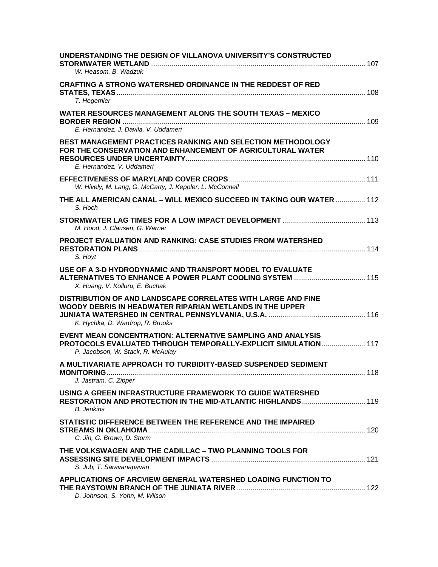| UNDERSTANDING THE DESIGN OF VILLANOVA UNIVERSITY'S CONSTRUCTED<br>W. Heasom, B. Wadzuk                                                                                    |  |
|---------------------------------------------------------------------------------------------------------------------------------------------------------------------------|--|
| <b>CRAFTING A STRONG WATERSHED ORDINANCE IN THE REDDEST OF RED</b><br>T. Hegemier                                                                                         |  |
| <b>WATER RESOURCES MANAGEMENT ALONG THE SOUTH TEXAS - MEXICO</b><br>E. Hernandez, J. Davila, V. Uddameri                                                                  |  |
| BEST MANAGEMENT PRACTICES RANKING AND SELECTION METHODOLOGY<br>FOR THE CONSERVATION AND ENHANCEMENT OF AGRICULTURAL WATER<br>E. Hernandez, V. Uddameri                    |  |
| W. Hively, M. Lang, G. McCarty, J. Keppler, L. McConnell                                                                                                                  |  |
| THE ALL AMERICAN CANAL - WILL MEXICO SUCCEED IN TAKING OUR WATER  112<br>S. Hoch                                                                                          |  |
| M. Hood, J. Clausen, G. Warner                                                                                                                                            |  |
| <b>PROJECT EVALUATION AND RANKING: CASE STUDIES FROM WATERSHED</b><br>S. Hoyt                                                                                             |  |
| USE OF A 3-D HYDRODYNAMIC AND TRANSPORT MODEL TO EVALUATE<br>X. Huang, V. Kolluru, E. Buchak                                                                              |  |
| DISTRIBUTION OF AND LANDSCAPE CORRELATES WITH LARGE AND FINE<br><b>WOODY DEBRIS IN HEADWATER RIPARIAN WETLANDS IN THE UPPER</b><br>K. Hychka, D. Wardrop, R. Brooks       |  |
| <b>EVENT MEAN CONCENTRATION: ALTERNATIVE SAMPLING AND ANALYSIS</b><br>PROTOCOLS EVALUATED THROUGH TEMPORALLY-EXPLICIT SIMULATION 117<br>P. Jacobson, W. Stack, R. McAulay |  |
| A MULTIVARIATE APPROACH TO TURBIDITY-BASED SUSPENDED SEDIMENT<br>J. Jastram, C. Zipper                                                                                    |  |
| USING A GREEN INFRASTRUCTURE FRAMEWORK TO GUIDE WATERSHED<br><b>B.</b> Jenkins                                                                                            |  |
| STATISTIC DIFFERENCE BETWEEN THE REFERENCE AND THE IMPAIRED<br>C. Jin. G. Brown. D. Storm                                                                                 |  |
| THE VOLKSWAGEN AND THE CADILLAC - TWO PLANNING TOOLS FOR<br>S. Job, T. Saravanapavan                                                                                      |  |
| APPLICATIONS OF ARCVIEW GENERAL WATERSHED LOADING FUNCTION TO<br>D. Johnson, S. Yohn, M. Wilson                                                                           |  |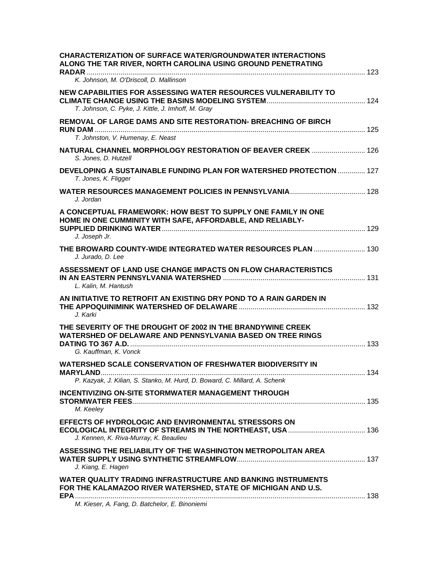| <b>CHARACTERIZATION OF SURFACE WATER/GROUNDWATER INTERACTIONS</b><br>ALONG THE TAR RIVER, NORTH CAROLINA USING GROUND PENETRATING                         |     |
|-----------------------------------------------------------------------------------------------------------------------------------------------------------|-----|
| K. Johnson, M. O'Driscoll, D. Mallinson                                                                                                                   |     |
| NEW CAPABILITIES FOR ASSESSING WATER RESOURCES VULNERABILITY TO<br>T. Johnson, C. Pyke, J. Kittle, J. Imhoff, M. Gray                                     |     |
| REMOVAL OF LARGE DAMS AND SITE RESTORATION- BREACHING OF BIRCH<br>T. Johnston, V. Humenay, E. Neast                                                       |     |
| NATURAL CHANNEL MORPHOLOGY RESTORATION OF BEAVER CREEK  126<br>S. Jones, D. Hutzell                                                                       |     |
| DEVELOPING A SUSTAINABLE FUNDING PLAN FOR WATERSHED PROTECTION  127<br>T. Jones, K. Fligger                                                               |     |
| J. Jordan                                                                                                                                                 |     |
| A CONCEPTUAL FRAMEWORK: HOW BEST TO SUPPLY ONE FAMILY IN ONE<br>HOME IN ONE CUMMINITY WITH SAFE, AFFORDABLE, AND RELIABLY-                                |     |
| J. Joseph Jr.<br>THE BROWARD COUNTY-WIDE INTEGRATED WATER RESOURCES PLAN  130                                                                             |     |
| J. Jurado, D. Lee<br>ASSESSMENT OF LAND USE CHANGE IMPACTS ON FLOW CHARACTERISTICS<br>L. Kalin, M. Hantush                                                |     |
| AN INITIATIVE TO RETROFIT AN EXISTING DRY POND TO A RAIN GARDEN IN<br>J. Karki                                                                            |     |
| THE SEVERITY OF THE DROUGHT OF 2002 IN THE BRANDYWINE CREEK<br><b>WATERSHED OF DELAWARE AND PENNSYLVANIA BASED ON TREE RINGS</b><br>G. Kauffman, K. Vonck |     |
| <b>WATERSHED SCALE CONSERVATION OF FRESHWATER BIODIVERSITY IN</b><br><b>MARYLAND</b>                                                                      | 134 |
| P. Kazyak, J. Kilian, S. Stanko, M. Hurd, D. Boward, C. Millard, A. Schenk                                                                                |     |
| <b>INCENTIVIZING ON-SITE STORMWATER MANAGEMENT THROUGH</b><br>M. Keeley                                                                                   |     |
| EFFECTS OF HYDROLOGIC AND ENVIRONMENTAL STRESSORS ON<br>J. Kennen, K. Riva-Murray, K. Beaulieu                                                            |     |
| ASSESSING THE RELIABILITY OF THE WASHINGTON METROPOLITAN AREA<br>J. Kiang, E. Hagen                                                                       |     |
| <b>WATER QUALITY TRADING INFRASTRUCTURE AND BANKING INSTRUMENTS</b><br>FOR THE KALAMAZOO RIVER WATERSHED, STATE OF MICHIGAN AND U.S.                      |     |
| M. Kieser, A. Fang, D. Batchelor, E. Binoniemi                                                                                                            |     |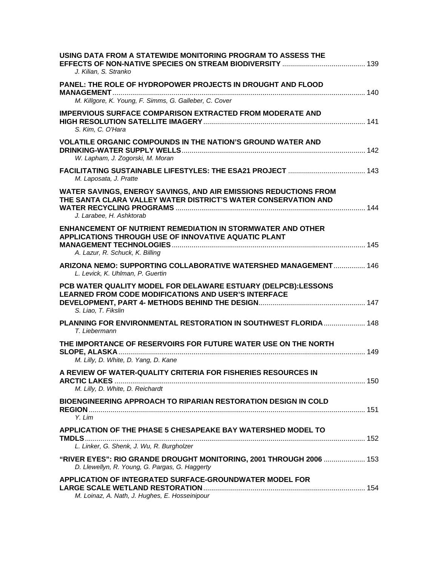| USING DATA FROM A STATEWIDE MONITORING PROGRAM TO ASSESS THE<br>J. Kilian, S. Stranko                                                                          |  |
|----------------------------------------------------------------------------------------------------------------------------------------------------------------|--|
| PANEL: THE ROLE OF HYDROPOWER PROJECTS IN DROUGHT AND FLOOD<br>M. Killgore, K. Young, F. Simms, G. Galleber, C. Cover                                          |  |
| <b>IMPERVIOUS SURFACE COMPARISON EXTRACTED FROM MODERATE AND</b><br>S. Kim, C. O'Hara                                                                          |  |
| <b>VOLATILE ORGANIC COMPOUNDS IN THE NATION'S GROUND WATER AND</b><br>W. Lapham, J. Zogorski, M. Moran                                                         |  |
| M. Laposata, J. Pratte                                                                                                                                         |  |
| WATER SAVINGS, ENERGY SAVINGS, AND AIR EMISSIONS REDUCTIONS FROM<br>THE SANTA CLARA VALLEY WATER DISTRICT'S WATER CONSERVATION AND<br>J. Larabee, H. Ashktorab |  |
| <b>ENHANCEMENT OF NUTRIENT REMEDIATION IN STORMWATER AND OTHER</b><br>APPLICATIONS THROUGH USE OF INNOVATIVE AQUATIC PLANT<br>A. Lazur, R. Schuck, K. Billing  |  |
| ARIZONA NEMO: SUPPORTING COLLABORATIVE WATERSHED MANAGEMENT 146<br>L. Levick, K. Uhlman, P. Guertin                                                            |  |
| PCB WATER QUALITY MODEL FOR DELAWARE ESTUARY (DELPCB):LESSONS<br>LEARNED FROM CODE MODIFICATIONS AND USER'S INTERFACE<br>S. Liao, T. Fikslin                   |  |
| PLANNING FOR ENVIRONMENTAL RESTORATION IN SOUTHWEST FLORIDA  148<br>T. Liebermann                                                                              |  |
| THE IMPORTANCE OF RESERVOIRS FOR FUTURE WATER USE ON THE NORTH<br>M. Lilly, D. White, D. Yang, D. Kane                                                         |  |
| A REVIEW OF WATER-QUALITY CRITERIA FOR FISHERIES RESOURCES IN<br>M. Lilly, D. White, D. Reichardt                                                              |  |
| <b>BIOENGINEERING APPROACH TO RIPARIAN RESTORATION DESIGN IN COLD</b><br>Y. Lim                                                                                |  |
| APPLICATION OF THE PHASE 5 CHESAPEAKE BAY WATERSHED MODEL TO<br>L. Linker, G. Shenk, J. Wu, R. Burgholzer                                                      |  |
| "RIVER EYES": RIO GRANDE DROUGHT MONITORING, 2001 THROUGH 2006  153<br>D. Llewellyn, R. Young, G. Pargas, G. Haggerty                                          |  |
| APPLICATION OF INTEGRATED SURFACE-GROUNDWATER MODEL FOR<br>M. Loinaz, A. Nath, J. Hughes, E. Hosseinipour                                                      |  |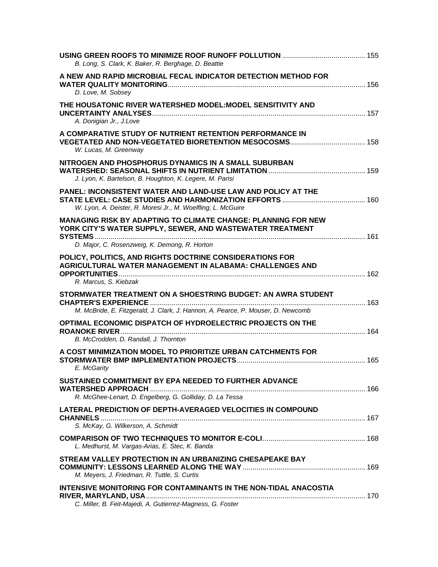| B. Long, S. Clark, K. Baker, R. Berghage, D. Beattie                                                                                                                               |  |
|------------------------------------------------------------------------------------------------------------------------------------------------------------------------------------|--|
| A NEW AND RAPID MICROBIAL FECAL INDICATOR DETECTION METHOD FOR<br>D. Love, M. Sobsey                                                                                               |  |
| THE HOUSATONIC RIVER WATERSHED MODEL:MODEL SENSITIVITY AND<br>A. Donigian Jr., J.Love                                                                                              |  |
| A COMPARATIVE STUDY OF NUTRIENT RETENTION PERFORMANCE IN<br>W. Lucas, M. Greenway                                                                                                  |  |
| NITROGEN AND PHOSPHORUS DYNAMICS IN A SMALL SUBURBAN<br>J. Lyon, K. Bartelson, B. Houghton, K. Legere, M. Parisi                                                                   |  |
| PANEL: INCONSISTENT WATER AND LAND-USE LAW AND POLICY AT THE<br>W. Lyon, A. Deister, R. Moresi Jr., M. Woelfling, L. McGuire                                                       |  |
| <b>MANAGING RISK BY ADAPTING TO CLIMATE CHANGE: PLANNING FOR NEW</b><br>YORK CITY'S WATER SUPPLY, SEWER, AND WASTEWATER TREATMENT<br>D. Major, C. Rosenzweig, K. Demong, R. Horton |  |
| POLICY, POLITICS, AND RIGHTS DOCTRINE CONSIDERATIONS FOR<br><b>AGRICULTURAL WATER MANAGEMENT IN ALABAMA: CHALLENGES AND</b><br>R. Marcus, S. Kiebzak                               |  |
| STORMWATER TREATMENT ON A SHOESTRING BUDGET: AN AWRA STUDENT<br>M. McBride, E. Fitzgerald, J. Clark, J. Hannon, A. Pearce, P. Mouser, D. Newcomb                                   |  |
| OPTIMAL ECONOMIC DISPATCH OF HYDROELECTRIC PROJECTS ON THE<br>B. McCrodden, D. Randall, J. Thornton                                                                                |  |
| A COST MINIMIZATION MODEL TO PRIORITIZE URBAN CATCHMENTS FOR<br>E. McGarity                                                                                                        |  |
| SUSTAINED COMMITMENT BY EPA NEEDED TO FURTHER ADVANCE<br>R. McGhee-Lenart, D. Engelberg, G. Golliday, D. La Tessa                                                                  |  |
| <b>LATERAL PREDICTION OF DEPTH-AVERAGED VELOCITIES IN COMPOUND</b><br>S. McKay, G. Wilkerson, A. Schmidt                                                                           |  |
| L. Medhurst, M. Vargas-Arias, E. Stec, K. Banda                                                                                                                                    |  |
| STREAM VALLEY PROTECTION IN AN URBANIZING CHESAPEAKE BAY<br>M. Meyers, J. Friedman, R. Tuttle, S. Curtis                                                                           |  |
| INTENSIVE MONITORING FOR CONTAMINANTS IN THE NON-TIDAL ANACOSTIA<br>C. Miller, B. Feit-Majedi, A. Gutierrez-Magness, G. Foster                                                     |  |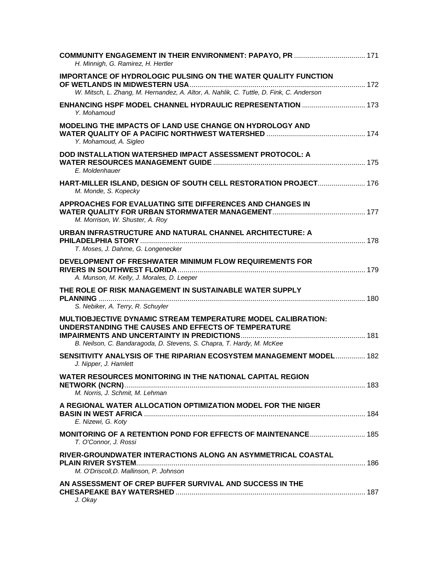| H. Minnigh, G. Ramirez, H. Hertler                                                                                                                                                                  |  |
|-----------------------------------------------------------------------------------------------------------------------------------------------------------------------------------------------------|--|
| <b>IMPORTANCE OF HYDROLOGIC PULSING ON THE WATER QUALITY FUNCTION</b>                                                                                                                               |  |
| W. Mitsch, L. Zhang, M. Hernandez, A. Altor, A. Nahlik, C. Tuttle, D. Fink, C. Anderson                                                                                                             |  |
| Y. Mohamoud                                                                                                                                                                                         |  |
| <b>MODELING THE IMPACTS OF LAND USE CHANGE ON HYDROLOGY AND</b><br>Y. Mohamoud, A. Sigleo                                                                                                           |  |
| DOD INSTALLATION WATERSHED IMPACT ASSESSMENT PROTOCOL: A<br>E. Moldenhauer                                                                                                                          |  |
| HART-MILLER ISLAND, DESIGN OF SOUTH CELL RESTORATION PROJECT 176<br>M. Monde, S. Kopecky                                                                                                            |  |
| APPROACHES FOR EVALUATING SITE DIFFERENCES AND CHANGES IN<br>M. Morrison, W. Shuster, A. Roy                                                                                                        |  |
| URBAN INFRASTRUCTURE AND NATURAL CHANNEL ARCHITECTURE: A<br>T. Moses, J. Dahme, G. Longenecker                                                                                                      |  |
| DEVELOPMENT OF FRESHWATER MINIMUM FLOW REQUIREMENTS FOR<br>A. Munson, M. Kelly, J. Morales, D. Leeper                                                                                               |  |
| THE ROLE OF RISK MANAGEMENT IN SUSTAINABLE WATER SUPPLY<br>S. Nebiker, A. Terry, R. Schuyler                                                                                                        |  |
| <b>MULTIOBJECTIVE DYNAMIC STREAM TEMPERATURE MODEL CALIBRATION:</b><br>UNDERSTANDING THE CAUSES AND EFFECTS OF TEMPERATURE<br>B. Neilson, C. Bandaragoda, D. Stevens, S. Chapra, T. Hardy, M. McKee |  |
| SENSITIVITY ANALYSIS OF THE RIPARIAN ECOSYSTEM MANAGEMENT MODEL 182                                                                                                                                 |  |
| J. Nipper, J. Hamlett                                                                                                                                                                               |  |
| WATER RESOURCES MONITORING IN THE NATIONAL CAPITAL REGION<br>M. Norris, J. Schmit, M. Lehman                                                                                                        |  |
| A REGIONAL WATER ALLOCATION OPTIMIZATION MODEL FOR THE NIGER<br>E. Nizewi, G. Koty                                                                                                                  |  |
| <b>MONITORING OF A RETENTION POND FOR EFFECTS OF MAINTENANCE 185</b><br>T. O'Connor, J. Rossi                                                                                                       |  |
| RIVER-GROUNDWATER INTERACTIONS ALONG AN ASYMMETRICAL COASTAL<br>M. O'Driscoll, D. Mallinson, P. Johnson                                                                                             |  |
| AN ASSESSMENT OF CREP BUFFER SURVIVAL AND SUCCESS IN THE<br>J. Okay                                                                                                                                 |  |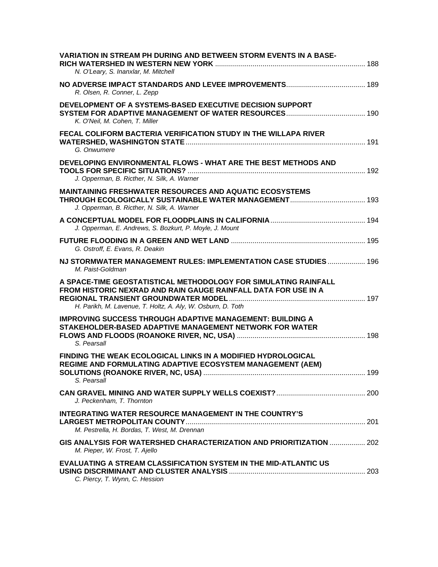| <b>VARIATION IN STREAM PH DURING AND BETWEEN STORM EVENTS IN A BASE-</b><br>N. O'Leary, S. Inanxlar, M. Mitchell                                                                                 |     |
|--------------------------------------------------------------------------------------------------------------------------------------------------------------------------------------------------|-----|
| R. Olsen, R. Conner, L. Zepp                                                                                                                                                                     |     |
| DEVELOPMENT OF A SYSTEMS-BASED EXECUTIVE DECISION SUPPORT<br>K. O'Neil, M. Cohen, T. Miller                                                                                                      |     |
| FECAL COLIFORM BACTERIA VERIFICATION STUDY IN THE WILLAPA RIVER<br>G. Onwumere                                                                                                                   |     |
| DEVELOPING ENVIRONMENTAL FLOWS - WHAT ARE THE BEST METHODS AND<br>J. Opperman, B. Ricther, N. Silk, A. Warner                                                                                    |     |
| <b>MAINTAINING FRESHWATER RESOURCES AND AQUATIC ECOSYSTEMS</b><br>J. Opperman, B. Ricther, N. Silk, A. Warner                                                                                    |     |
| J. Opperman, E. Andrews, S. Bozkurt, P. Moyle, J. Mount                                                                                                                                          |     |
| G. Ostroff, E. Evans, R. Deakin                                                                                                                                                                  |     |
| NJ STORMWATER MANAGEMENT RULES: IMPLEMENTATION CASE STUDIES 196<br>M. Paist-Goldman                                                                                                              |     |
|                                                                                                                                                                                                  |     |
| A SPACE-TIME GEOSTATISTICAL METHODOLOGY FOR SIMULATING RAINFALL<br>FROM HISTORIC NEXRAD AND RAIN GAUGE RAINFALL DATA FOR USE IN A<br>H. Parikh, M. Lavenue, T. Holtz, A. Aly, W. Osburn, D. Toth |     |
| <b>IMPROVING SUCCESS THROUGH ADAPTIVE MANAGEMENT: BUILDING A</b><br>STAKEHOLDER-BASED ADAPTIVE MANAGEMENT NETWORK FOR WATER<br>S. Pearsall                                                       |     |
| <b>FINDING THE WEAK ECOLOGICAL LINKS IN A MODIFIED HYDROLOGICAL</b><br>REGIME AND FORMULATING ADAPTIVE ECOSYSTEM MANAGEMENT (AEM)<br>S. Pearsall                                                 | 199 |
| J. Peckenham, T. Thornton                                                                                                                                                                        |     |
| <b>INTEGRATING WATER RESOURCE MANAGEMENT IN THE COUNTRY'S</b><br>M. Pestrella, H. Bordas, T. West, M. Drennan                                                                                    |     |
| GIS ANALYSIS FOR WATERSHED CHARACTERIZATION AND PRIORITIZATION  202<br>M. Pieper, W. Frost, T. Ajello                                                                                            |     |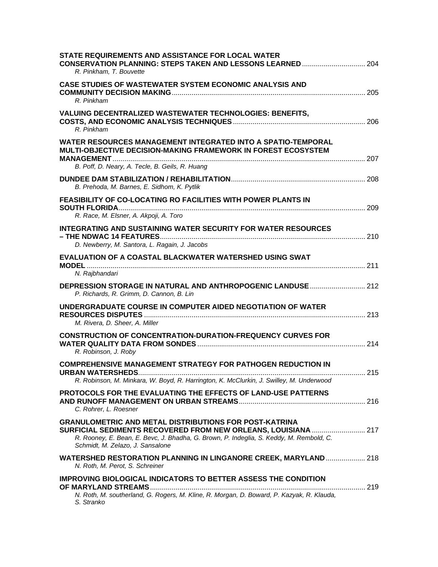| STATE REQUIREMENTS AND ASSISTANCE FOR LOCAL WATER<br>R. Pinkham, T. Bouvette                                                                                                                 |  |
|----------------------------------------------------------------------------------------------------------------------------------------------------------------------------------------------|--|
| CASE STUDIES OF WASTEWATER SYSTEM ECONOMIC ANALYSIS AND<br>R. Pinkham                                                                                                                        |  |
| VALUING DECENTRALIZED WASTEWATER TECHNOLOGIES: BENEFITS,<br>R. Pinkham                                                                                                                       |  |
| <b>WATER RESOURCES MANAGEMENT INTEGRATED INTO A SPATIO-TEMPORAL</b><br>MULTI-OBJECTIVE DECISION-MAKING FRAMEWORK IN FOREST ECOSYSTEM                                                         |  |
| B. Poff, D. Neary, A. Tecle, B. Geils, R. Huang                                                                                                                                              |  |
| B. Prehoda, M. Barnes, E. Sidhom, K. Pytlik<br><b>FEASIBILITY OF CO-LOCATING RO FACILITIES WITH POWER PLANTS IN</b>                                                                          |  |
| R. Race, M. Elsner, A. Akpoji, A. Toro<br><b>INTEGRATING AND SUSTAINING WATER SECURITY FOR WATER RESOURCES</b><br>D. Newberry, M. Santora, L. Ragain, J. Jacobs                              |  |
| <b>EVALUATION OF A COASTAL BLACKWATER WATERSHED USING SWAT</b><br>N. Rajbhandari                                                                                                             |  |
| P. Richards, R. Grimm, D. Cannon, B. Lin                                                                                                                                                     |  |
| UNDERGRADUATE COURSE IN COMPUTER AIDED NEGOTIATION OF WATER<br>M. Rivera, D. Sheer, A. Miller                                                                                                |  |
| <b>CONSTRUCTION OF CONCENTRATION-DURATION-FREQUENCY CURVES FOR</b><br>R. Robinson, J. Roby                                                                                                   |  |
| <b>COMPREHENSIVE MANAGEMENT STRATEGY FOR PATHOGEN REDUCTION IN</b><br>R. Robinson, M. Minkara, W. Boyd, R. Harrington, K. McClurkin, J. Swilley, M. Underwood                                |  |
| PROTOCOLS FOR THE EVALUATING THE EFFECTS OF LAND-USE PATTERNS<br>C. Rohrer, L. Roesner                                                                                                       |  |
| <b>GRANULOMETRIC AND METAL DISTRIBUTIONS FOR POST-KATRINA</b><br>R. Rooney, E. Bean, E. Bevc, J. Bhadha, G. Brown, P. Indeglia, S. Keddy, M. Rembold, C.<br>Schmidt, M. Zelazo, J. Sansalone |  |
| <b>WATERSHED RESTORATION PLANNING IN LINGANORE CREEK, MARYLAND 218</b><br>N. Roth, M. Perot, S. Schreiner                                                                                    |  |
| <b>IMPROVING BIOLOGICAL INDICATORS TO BETTER ASSESS THE CONDITION</b><br>N. Roth, M. southerland, G. Rogers, M. Kline, R. Morgan, D. Boward, P. Kazyak, R. Klauda,<br>S. Stranko             |  |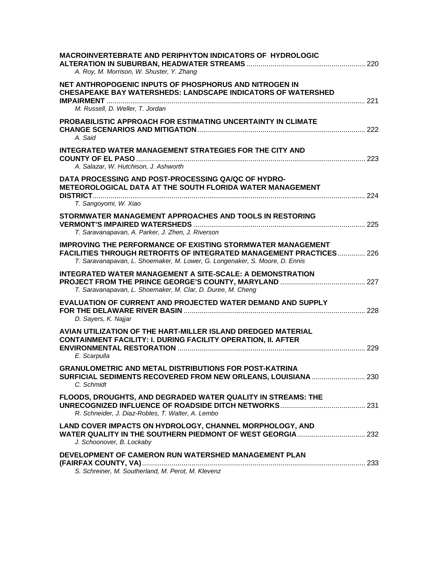| <b>MACROINVERTEBRATE AND PERIPHYTON INDICATORS OF HYDROLOGIC</b><br>A. Roy, M. Morrison, W. Shuster, Y. Zhang                                                                                                                   |  |
|---------------------------------------------------------------------------------------------------------------------------------------------------------------------------------------------------------------------------------|--|
| NET ANTHROPOGENIC INPUTS OF PHOSPHORUS AND NITROGEN IN<br><b>CHESAPEAKE BAY WATERSHEDS: LANDSCAPE INDICATORS OF WATERSHED</b><br>M. Russell, D. Weller, T. Jordan                                                               |  |
| PROBABILISTIC APPROACH FOR ESTIMATING UNCERTAINTY IN CLIMATE<br>A. Said                                                                                                                                                         |  |
| INTEGRATED WATER MANAGEMENT STRATEGIES FOR THE CITY AND<br>A. Salazar, W. Hutchison, J. Ashworth                                                                                                                                |  |
| DATA PROCESSING AND POST-PROCESSING QA/QC OF HYDRO-<br><b>METEOROLOGICAL DATA AT THE SOUTH FLORIDA WATER MANAGEMENT</b><br>T. Sangoyomi, W. Xiao                                                                                |  |
| STORMWATER MANAGEMENT APPROACHES AND TOOLS IN RESTORING<br>T. Saravanapavan, A. Parker, J. Zhen, J. Riverson                                                                                                                    |  |
| <b>IMPROVING THE PERFORMANCE OF EXISTING STORMWATER MANAGEMENT</b><br><b>FACILITIES THROUGH RETROFITS OF INTEGRATED MANAGEMENT PRACTICES 226</b><br>T. Saravanapavan, L. Shoemaker, M. Lower, G. Longenaker, S. Moore, D. Ennis |  |
| <b>INTEGRATED WATER MANAGEMENT A SITE-SCALE: A DEMONSTRATION</b><br>T. Saravanapavan, L. Shoemaker, M. Clar, D. Duree, M. Cheng                                                                                                 |  |
| <b>EVALUATION OF CURRENT AND PROJECTED WATER DEMAND AND SUPPLY</b><br>D. Sayers, K. Najjar                                                                                                                                      |  |
| AVIAN UTILIZATION OF THE HART-MILLER ISLAND DREDGED MATERIAL<br><b>CONTAINMENT FACILITY: I. DURING FACILITY OPERATION, II. AFTER</b><br>E. Scarpulla                                                                            |  |
| <b>GRANULOMETRIC AND METAL DISTRIBUTIONS FOR POST-KATRINA</b><br>SURFICIAL SEDIMENTS RECOVERED FROM NEW ORLEANS, LOUISIANA  230<br>C. Schmidt                                                                                   |  |
| FLOODS, DROUGHTS, AND DEGRADED WATER QUALITY IN STREAMS: THE<br>R. Schneider, J. Diaz-Robles, T. Walter, A. Lembo                                                                                                               |  |
| LAND COVER IMPACTS ON HYDROLOGY, CHANNEL MORPHOLOGY, AND<br>J. Schoonover, B. Lockaby                                                                                                                                           |  |
| DEVELOPMENT OF CAMERON RUN WATERSHED MANAGEMENT PLAN<br>S. Schreiner, M. Southerland, M. Perot, M. Klevenz                                                                                                                      |  |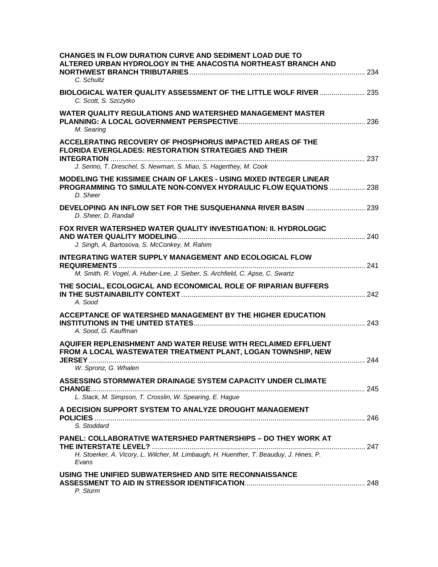| <b>CHANGES IN FLOW DURATION CURVE AND SEDIMENT LOAD DUE TO</b><br>ALTERED URBAN HYDROLOGY IN THE ANACOSTIA NORTHEAST BRANCH AND<br>C. Schultz            |  |
|----------------------------------------------------------------------------------------------------------------------------------------------------------|--|
| <b>BIOLOGICAL WATER QUALITY ASSESSMENT OF THE LITTLE WOLF RIVER  235</b><br>C. Scott, S. Szczytko                                                        |  |
| WATER QUALITY REGULATIONS AND WATERSHED MANAGEMENT MASTER<br>M. Searing                                                                                  |  |
| ACCELERATING RECOVERY OF PHOSPHORUS IMPACTED AREAS OF THE<br><b>FLORIDA EVERGLADES: RESTORATION STRATEGIES AND THEIR</b>                                 |  |
| J. Serino, T. Dreschel, S. Newman, S. Miao, S. Hagerthey, M. Cook                                                                                        |  |
| MODELING THE KISSIMEE CHAIN OF LAKES - USING MIXED INTEGER LINEAR<br><b>PROGRAMMING TO SIMULATE NON-CONVEX HYDRAULIC FLOW EQUATIONS  238</b><br>D. Sheer |  |
| D. Sheer, D. Randall                                                                                                                                     |  |
| FOX RIVER WATERSHED WATER QUALITY INVESTIGATION: II. HYDROLOGIC                                                                                          |  |
| J. Singh, A. Bartosova, S. McConkey, M. Rahim                                                                                                            |  |
| <b>INTEGRATING WATER SUPPLY MANAGEMENT AND ECOLOGICAL FLOW</b>                                                                                           |  |
| M. Smith, R. Vogel, A. Huber-Lee, J. Sieber, S. Archfield, C. Apse, C. Swartz                                                                            |  |
| THE SOCIAL, ECOLOGICAL AND ECONOMICAL ROLE OF RIPARIAN BUFFERS<br>A. Sood                                                                                |  |
| ACCEPTANCE OF WATERSHED MANAGEMENT BY THE HIGHER EDUCATION                                                                                               |  |
| A. Sood, G. Kauffman                                                                                                                                     |  |
| AQUIFER REPLENISHMENT AND WATER REUSE WITH RECLAIMED EFFLUENT<br>FROM A LOCAL WASTEWATER TREATMENT PLANT, LOGAN TOWNSHIP, NEW                            |  |
| W. Spronz, G. Whalen                                                                                                                                     |  |
| ASSESSING STORMWATER DRAINAGE SYSTEM CAPACITY UNDER CLIMATE                                                                                              |  |
| L. Stack, M. Simpson, T. Crosslin, W. Spearing, E. Hague                                                                                                 |  |
| A DECISION SUPPORT SYSTEM TO ANALYZE DROUGHT MANAGEMENT                                                                                                  |  |
| S. Stoddard                                                                                                                                              |  |
| PANEL: COLLABORATIVE WATERSHED PARTNERSHIPS - DO THEY WORK AT                                                                                            |  |
| H. Stoerker, A. Vicory, L. Wilcher, M. Limbaugh, H. Huenther, T. Beauduy, J. Hines, P.<br>Evans                                                          |  |
| USING THE UNIFIED SUBWATERSHED AND SITE RECONNAISSANCE<br>P. Sturm                                                                                       |  |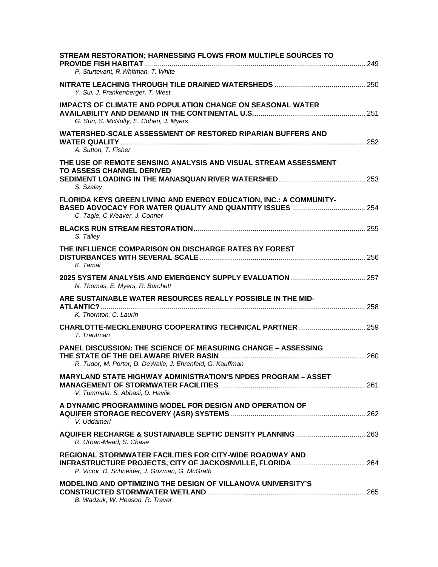| STREAM RESTORATION; HARNESSING FLOWS FROM MULTIPLE SOURCES TO<br>P. Sturtevant, R. Whitman, T. White                               |  |
|------------------------------------------------------------------------------------------------------------------------------------|--|
| Y. Sui, J. Frankenberger, T. West                                                                                                  |  |
| <b>IMPACTS OF CLIMATE AND POPULATION CHANGE ON SEASONAL WATER</b><br>G. Sun, S. McNulty, E. Cohen, J. Myers                        |  |
| WATERSHED-SCALE ASSESSMENT OF RESTORED RIPARIAN BUFFERS AND<br>A. Sutton, T. Fisher                                                |  |
| THE USE OF REMOTE SENSING ANALYSIS AND VISUAL STREAM ASSESSMENT<br><b>TO ASSESS CHANNEL DERIVED</b><br>S. Szalay                   |  |
| FLORIDA KEYS GREEN LIVING AND ENERGY EDUCATION, INC.: A COMMUNITY-<br>C. Tagle, C. Weaver, J. Conner                               |  |
| S. Talley                                                                                                                          |  |
| THE INFLUENCE COMPARISON ON DISCHARGE RATES BY FOREST<br>K. Tamai                                                                  |  |
| N. Thomas, E. Myers, R. Burchett                                                                                                   |  |
| ARE SUSTAINABLE WATER RESOURCES REALLY POSSIBLE IN THE MID-<br>K. Thornton, C. Laurin                                              |  |
| T. Trautman                                                                                                                        |  |
| <b>PANEL DISCUSSION: THE SCIENCE OF MEASURING CHANGE - ASSESSING</b><br>R. Tudor, M. Porter, D. DeWalle, J. Ehrenfeld, G. Kauffman |  |
| <b>MARYLAND STATE HIGHWAY ADMINISTRATION'S NPDES PROGRAM - ASSET</b><br>V. Tummala, S. Abbasi, D. Havlik                           |  |
| A DYNAMIC PROGRAMMING MODEL FOR DESIGN AND OPERATION OF<br>V. Uddameri                                                             |  |
| R. Urban-Mead, S. Chase                                                                                                            |  |
| <b>REGIONAL STORMWATER FACILITIES FOR CITY-WIDE ROADWAY AND</b><br>P. Victor, D. Schneider, J. Guzman, G. McGrath                  |  |
| <b>MODELING AND OPTIMIZING THE DESIGN OF VILLANOVA UNIVERSITY'S</b><br>B. Wadzuk, W. Heason, R. Traver                             |  |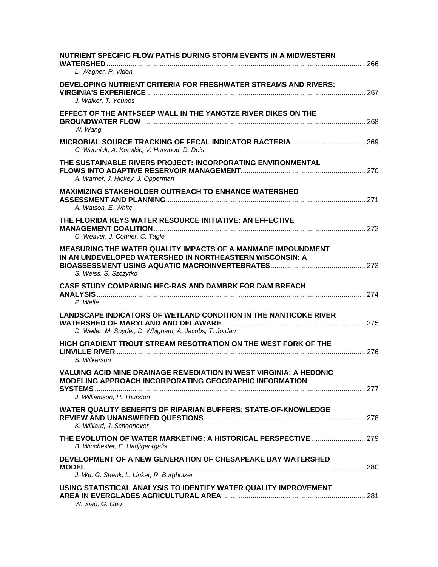| NUTRIENT SPECIFIC FLOW PATHS DURING STORM EVENTS IN A MIDWESTERN                                                                    |  |
|-------------------------------------------------------------------------------------------------------------------------------------|--|
| L. Wagner, P. Vidon                                                                                                                 |  |
| DEVELOPING NUTRIENT CRITERIA FOR FRESHWATER STREAMS AND RIVERS:                                                                     |  |
| J. Walker, T. Younos                                                                                                                |  |
| EFFECT OF THE ANTI-SEEP WALL IN THE YANGTZE RIVER DIKES ON THE<br>W. Wang                                                           |  |
| C. Wapnick, A. Korajkic, V. Harwood, D. Deis                                                                                        |  |
| THE SUSTAINABLE RIVERS PROJECT: INCORPORATING ENVIRONMENTAL<br>A. Warner, J. Hickey, J. Opperman                                    |  |
| <b>MAXIMIZING STAKEHOLDER OUTREACH TO ENHANCE WATERSHED</b><br>A. Watson, E. White                                                  |  |
| THE FLORIDA KEYS WATER RESOURCE INITIATIVE: AN EFFECTIVE                                                                            |  |
| C. Weaver, J. Conner, C. Tagle                                                                                                      |  |
| <b>MEASURING THE WATER QUALITY IMPACTS OF A MANMADE IMPOUNDMENT</b><br>IN AN UNDEVELOPED WATERSHED IN NORTHEASTERN WISCONSIN: A     |  |
| S. Weiss, S. Szczytko                                                                                                               |  |
| <b>CASE STUDY COMPARING HEC-RAS AND DAMBRK FOR DAM BREACH</b><br>P. Welle                                                           |  |
| <b>LANDSCAPE INDICATORS OF WETLAND CONDITION IN THE NANTICOKE RIVER</b><br>D. Weller, M. Snyder, D. Whigham, A. Jacobs, T. Jordan   |  |
| HIGH GRADIENT TROUT STREAM RESOTRATION ON THE WEST FORK OF THE                                                                      |  |
| S. Wilkerson                                                                                                                        |  |
| VALUING ACID MINE DRAINAGE REMEDIATION IN WEST VIRGINIA: A HEDONIC<br><b>MODELING APPROACH INCORPORATING GEOGRAPHIC INFORMATION</b> |  |
| J. Williamson, H. Thurston                                                                                                          |  |
| WATER QUALITY BENEFITS OF RIPARIAN BUFFERS: STATE-OF-KNOWLEDGE<br>K. Williard, J. Schoonover                                        |  |
| THE EVOLUTION OF WATER MARKETING: A HISTORICAL PERSPECTIVE  279<br>B. Winchester, E. Hadjigeorgalis                                 |  |
| DEVELOPMENT OF A NEW GENERATION OF CHESAPEAKE BAY WATERSHED                                                                         |  |
| J. Wu, G. Shenk, L. Linker, R. Burgholzer                                                                                           |  |
| USING STATISTICAL ANALYSIS TO IDENTIFY WATER QUALITY IMPROVEMENT<br>W. Xiao, G. Guo                                                 |  |